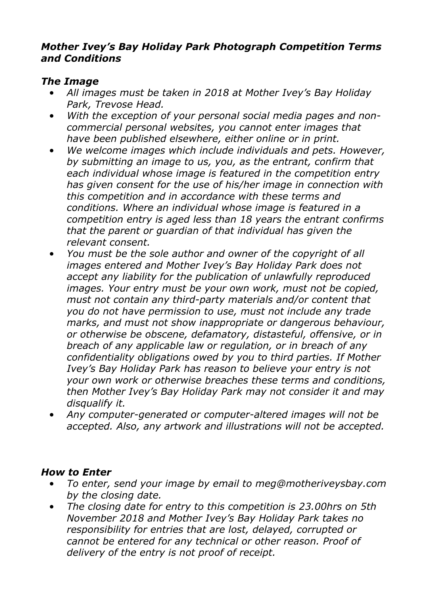#### *Mother Ivey's Bay Holiday Park Photograph Competition Terms and Conditions*

## *The Image*

- *All images must be taken in 2018 at Mother Ivey's Bay Holiday Park, Trevose Head.*
- *With the exception of your personal social media pages and noncommercial personal websites, you cannot enter images that have been published elsewhere, either online or in print.*
- *We welcome images which include individuals and pets. However, by submitting an image to us, you, as the entrant, confirm that each individual whose image is featured in the competition entry has given consent for the use of his/her image in connection with this competition and in accordance with these terms and conditions. Where an individual whose image is featured in a competition entry is aged less than 18 years the entrant confirms that the parent or guardian of that individual has given the relevant consent.*
- *You must be the sole author and owner of the copyright of all images entered and Mother Ivey's Bay Holiday Park does not accept any liability for the publication of unlawfully reproduced images. Your entry must be your own work, must not be copied, must not contain any third-party materials and/or content that you do not have permission to use, must not include any trade marks, and must not show inappropriate or dangerous behaviour, or otherwise be obscene, defamatory, distasteful, offensive, or in breach of any applicable law or regulation, or in breach of any confidentiality obligations owed by you to third parties. If Mother Ivey's Bay Holiday Park has reason to believe your entry is not your own work or otherwise breaches these terms and conditions, then Mother Ivey's Bay Holiday Park may not consider it and may disqualify it.*
- *Any computer-generated or computer-altered images will not be accepted. Also, any artwork and illustrations will not be accepted.*

## *How to Enter*

- *To enter, send your image by email to meg@motheriveysbay.com by the closing date.*
- *The closing date for entry to this competition is 23.00hrs on 5th November 2018 and Mother Ivey's Bay Holiday Park takes no responsibility for entries that are lost, delayed, corrupted or cannot be entered for any technical or other reason. Proof of delivery of the entry is not proof of receipt.*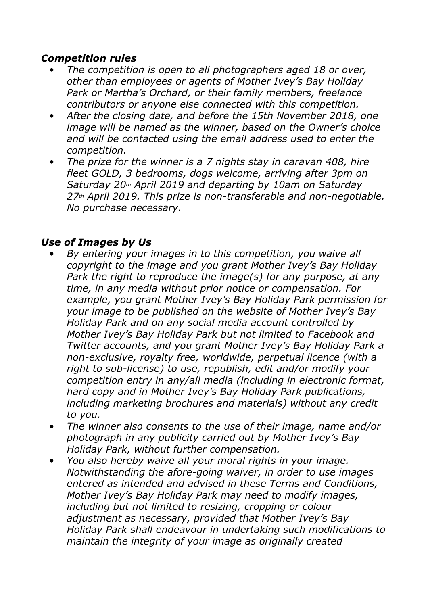#### *Competition rules*

- *The competition is open to all photographers aged 18 or over, other than employees or agents of Mother Ivey's Bay Holiday Park or Martha's Orchard, or their family members, freelance contributors or anyone else connected with this competition.*
- *After the closing date, and before the 15th November 2018, one image will be named as the winner, based on the Owner's choice and will be contacted using the email address used to enter the competition.*
- *The prize for the winner is a 7 nights stay in caravan 408, hire fleet GOLD, 3 bedrooms, dogs welcome, arriving after 3pm on Saturday 20th April 2019 and departing by 10am on Saturday 27th April 2019. This prize is non-transferable and non-negotiable. No purchase necessary.*

#### *Use of Images by Us*

- *By entering your images in to this competition, you waive all copyright to the image and you grant Mother Ivey's Bay Holiday Park the right to reproduce the image(s) for any purpose, at any time, in any media without prior notice or compensation. For example, you grant Mother Ivey's Bay Holiday Park permission for your image to be published on the website of Mother Ivey's Bay Holiday Park and on any social media account controlled by Mother Ivey's Bay Holiday Park but not limited to Facebook and Twitter accounts, and you grant Mother Ivey's Bay Holiday Park a non-exclusive, royalty free, worldwide, perpetual licence (with a right to sub-license) to use, republish, edit and/or modify your competition entry in any/all media (including in electronic format, hard copy and in Mother Ivey's Bay Holiday Park publications, including marketing brochures and materials) without any credit to you.*
- *The winner also consents to the use of their image, name and/or photograph in any publicity carried out by Mother Ivey's Bay Holiday Park, without further compensation.*
- *You also hereby waive all your moral rights in your image. Notwithstanding the afore-going waiver, in order to use images entered as intended and advised in these Terms and Conditions, Mother Ivey's Bay Holiday Park may need to modify images, including but not limited to resizing, cropping or colour adjustment as necessary, provided that Mother Ivey's Bay Holiday Park shall endeavour in undertaking such modifications to maintain the integrity of your image as originally created*